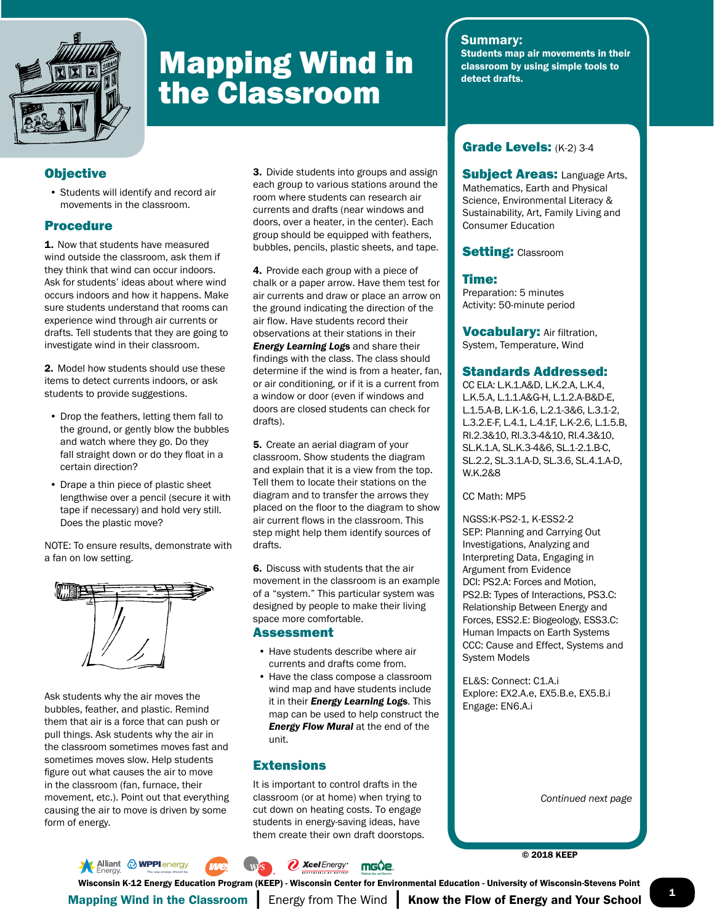

# Mapping Wind in the Classroom

# **Objective**

• Students will identify and record air movements in the classroom.

## Procedure

1. Now that students have measured wind outside the classroom, ask them if they think that wind can occur indoors. Ask for students' ideas about where wind occurs indoors and how it happens. Make sure students understand that rooms can experience wind through air currents or drafts. Tell students that they are going to investigate wind in their classroom.

2. Model how students should use these items to detect currents indoors, or ask students to provide suggestions.

- Drop the feathers, letting them fall to the ground, or gently blow the bubbles and watch where they go. Do they fall straight down or do they float in a certain direction?
- Drape a thin piece of plastic sheet lengthwise over a pencil (secure it with tape if necessary) and hold very still. Does the plastic move?

NOTE: To ensure results, demonstrate with a fan on low setting.



Ask students why the air moves the bubbles, feather, and plastic. Remind them that air is a force that can push or pull things. Ask students why the air in the classroom sometimes moves fast and sometimes moves slow. Help students figure out what causes the air to move in the classroom (fan, furnace, their movement, etc.). Point out that everything causing the air to move is driven by some form of energy.

3. Divide students into groups and assign each group to various stations around the room where students can research air currents and drafts (near windows and doors, over a heater, in the center). Each group should be equipped with feathers, bubbles, pencils, plastic sheets, and tape.

4. Provide each group with a piece of chalk or a paper arrow. Have them test for air currents and draw or place an arrow on the ground indicating the direction of the air flow. Have students record their observations at their stations in their *Energy Learning Log*s and share their findings with the class. The class should determine if the wind is from a heater, fan, or air conditioning, or if it is a current from a window or door (even if windows and doors are closed students can check for drafts).

5. Create an aerial diagram of your classroom. Show students the diagram and explain that it is a view from the top. Tell them to locate their stations on the diagram and to transfer the arrows they placed on the floor to the diagram to show air current flows in the classroom. This step might help them identify sources of drafts.

6. Discuss with students that the air movement in the classroom is an example of a "system." This particular system was designed by people to make their living space more comfortable.

#### Assessment

- Have students describe where air currents and drafts come from.
- Have the class compose a classroom wind map and have students include it in their *Energy Learning Log*s. This map can be used to help construct the *Energy Flow Mural* at the end of the unit.

## **Extensions**

It is important to control drafts in the classroom (or at home) when trying to cut down on heating costs. To engage students in energy-saving ideas, have them create their own draft doorstops.

## Summary:

Students map air movements in their classroom by using simple tools to detect drafts.

# Grade Levels: (K-2) 3-4

**Subject Areas: Language Arts.** Mathematics, Earth and Physical Science, Environmental Literacy & Sustainability, Art, Family Living and Consumer Education

## **Setting: Classroom**

## Time:

Preparation: 5 minutes Activity: 50-minute period

Vocabulary: Air filtration, System, Temperature, Wind

## Standards Addressed:

CC ELA: L.K.1.A&D, L.K.2.A, L.K.4, L.K.5.A, L.1.1.A&G-H, L.1.2.A-B&D-E, L.1.5.A-B, L.K-1.6, L.2.1-3&6, L.3.1-2, L.3.2.E-F, L.4.1, L.4.1F, L.K-2.6, L.1.5.B, RI.2.3&10, RI.3.3-4&10, RI.4.3&10, SL.K.1.A, SL.K.3-4&6, SL.1-2.1.B-C, SL.2.2, SL.3.1.A-D, SL.3.6, SL.4.1.A-D, W.K.2&8

CC Math: MP5

NGSS:K-PS2-1, K-ESS2-2 SEP: Planning and Carrying Out Investigations, Analyzing and Interpreting Data, Engaging in Argument from Evidence DCI: PS2.A: Forces and Motion, PS2.B: Types of Interactions, PS3.C: Relationship Between Energy and Forces, ESS2.E: Biogeology, ESS3.C: Human Impacts on Earth Systems CCC: Cause and Effect, Systems and System Models

EL&S: Connect: C1.A.i Explore: EX2.A.e, EX5.B.e, EX5.B.i Engage: EN6.A.i

*Continued next page*

© 2018 KEEP

**Alliant @ WPPI** energy *D* Xcel Energy\* mg0e.

1 Mapping Wind in the Classroom | Energy from The Wind | Know the Flow of Energy and Your School Wisconsin K-12 Energy Education Program (KEEP) - Wisconsin Center for Environmental Education - University of Wisconsin-Stevens Point